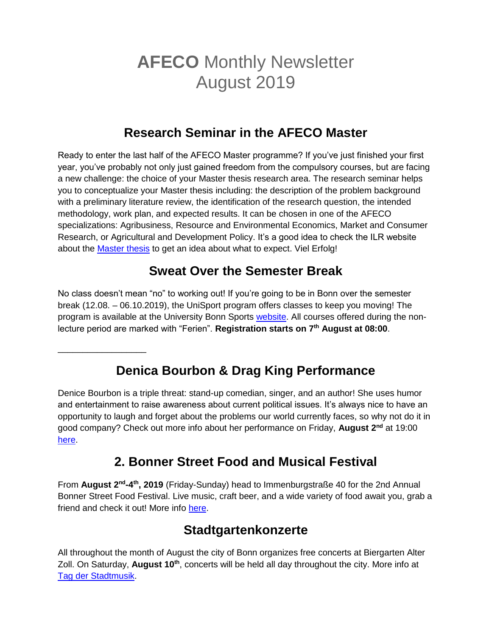# **AFECO** Monthly Newsletter August 2019

# **Research Seminar in the AFECO Master**

Ready to enter the last half of the AFECO Master programme? If you've just finished your first year, you've probably not only just gained freedom from the compulsory courses, but are facing a new challenge: the choice of your Master thesis research area. The research seminar helps you to conceptualize your Master thesis including: the description of the problem background with a preliminary literature review, the identification of the research question, the intended methodology, work plan, and expected results. It can be chosen in one of the AFECO specializations: Agribusiness, Resource and Environmental Economics, Market and Consumer Research, or Agricultural and Development Policy. It's a good idea to check the ILR website about the [Master thesis](http://www.ilr.uni-bonn.de/courses/masterarb_d.asp) to get an idea about what to expect. Viel Erfolg!

# **Sweat Over the Semester Break**

No class doesn't mean "no" to working out! If you're going to be in Bonn over the semester break (12.08. – 06.10.2019), the UniSport program offers classes to keep you moving! The program is available at the University Bonn Sports [website.](https://www.sport.uni-bonn.de/) All courses offered during the nonlecture period are marked with "Ferien". **Registration starts on 7th August at 08:00**.

**Denica Bourbon & Drag King Performance**

\_\_\_\_\_\_\_\_\_\_\_\_\_\_\_\_\_\_

Denice Bourbon is a triple threat: stand-up comedian, singer, and an author! She uses humor and entertainment to raise awareness about current political issues. It's always nice to have an opportunity to laugh and forget about the problems our world currently faces, so why not do it in good company? Check out more info about her performance on Friday, **August 2nd** at 19:00 [here.](https://www.facebook.com/events/kult41/denice-bourbon-drag-king-performance/1048881055311235/)

# **2. Bonner Street Food and Musical Festival**

From **August 2<sup>nd</sup>-4<sup>th</sup>, 2019** (Friday-Sunday) head to Immenburgstraße 40 for the 2nd Annual Bonner Street Food Festival. Live music, craft beer, and a wide variety of food await you, grab a friend and check it out! More info [here.](https://www.facebook.com/events/bonngas/2-bonner-street-food-and-music-festival/366581067412025/)

#### **Stadtgartenkonzerte**

All throughout the month of August the city of Bonn organizes free concerts at Biergarten Alter Zoll. On Saturday, August 10<sup>th</sup>, concerts will be held all day throughout the city. More info at [Tag der Stadtmusik.](https://www.bonn.de/bonn-erleben/ausgehen-und-erleben/stadtgartenkonzerte.php)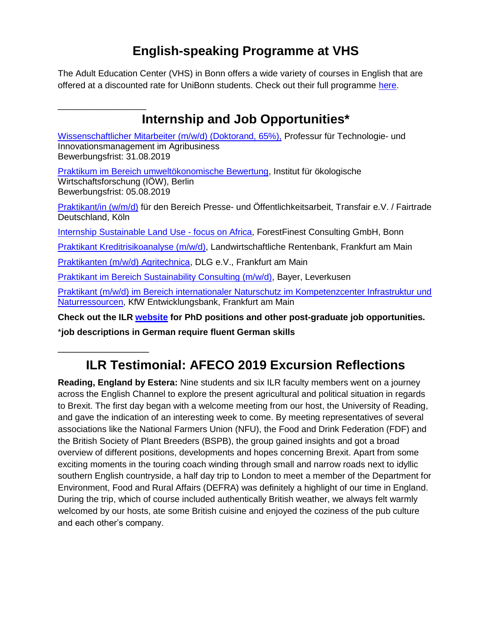# **English-speaking Programme at VHS**

The Adult Education Center (VHS) in Bonn offers a wide variety of courses in English that are offered at a discounted rate for UniBonn students. Check out their full programme [here.](https://www.vhs-bonn.de/englisches-programm)

| Internship and Job Opportunities*                                                                                                                               |
|-----------------------------------------------------------------------------------------------------------------------------------------------------------------|
| Wissenschaftlicher Mitarbeiter (m/w/d) (Doktorand, 65%), Professur für Technologie- und<br>Innovationsmanagement im Agribusiness<br>Bewerbungsfrist: 31.08.2019 |
| Praktikum im Bereich umweltökonomische Bewertung, Institut für ökologische<br>Wirtschaftsforschung (IOW), Berlin<br>Bewerbungsfrist: 05.08.2019                 |
| Praktikant/in (w/m/d) für den Bereich Presse- und Öffentlichkeitsarbeit, Transfair e.V. / Fairtrade<br>Deutschland, Köln                                        |
| <b>Internship Sustainable Land Use - focus on Africa, ForestFinest Consulting GmbH, Bonn</b>                                                                    |
| Praktikant Kreditrisikoanalyse (m/w/d), Landwirtschaftliche Rentenbank, Frankfurt am Main                                                                       |
| Praktikanten (m/w/d) Agritechnica, DLG e.V., Frankfurt am Main                                                                                                  |
| Praktikant im Bereich Sustainability Consulting (m/w/d), Bayer, Leverkusen                                                                                      |
| Praktikant (m/w/d) im Bereich internationaler Naturschutz im Kompetenzcenter Infrastruktur und<br>Naturressourcen, KfW Entwicklungsbank, Frankfurt am Main      |
| Check out the ILR website for PhD positions and other post-graduate job opportunities.                                                                          |

\***job descriptions in German require fluent German skills**

\_\_\_\_\_\_\_\_\_\_\_\_\_\_\_\_\_

# **ILR Testimonial: AFECO 2019 Excursion Reflections**

**Reading, England by Estera:** Nine students and six ILR faculty members went on a journey across the English Channel to explore the present agricultural and political situation in regards to Brexit. The first day began with a welcome meeting from our host, the University of Reading, and gave the indication of an interesting week to come. By meeting representatives of several associations like the National Farmers Union (NFU), the Food and Drink Federation (FDF) and the British Society of Plant Breeders (BSPB), the group gained insights and got a broad overview of different positions, developments and hopes concerning Brexit. Apart from some exciting moments in the touring coach winding through small and narrow roads next to idyllic southern English countryside, a half day trip to London to meet a member of the Department for Environment, Food and Rural Affairs (DEFRA) was definitely a highlight of our time in England. During the trip, which of course included authentically British weather, we always felt warmly welcomed by our hosts, ate some British cuisine and enjoyed the coziness of the pub culture and each other's company.